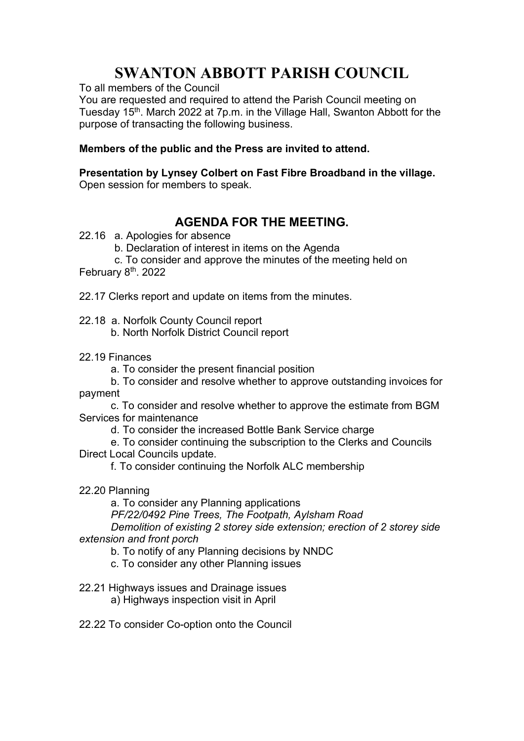## SWANTON ABBOTT PARISH COUNCIL

To all members of the Council

You are requested and required to attend the Parish Council meeting on Tuesday 15<sup>th</sup>, March 2022 at 7p.m. in the Village Hall, Swanton Abbott for the purpose of transacting the following business.

## Members of the public and the Press are invited to attend.

Presentation by Lynsey Colbert on Fast Fibre Broadband in the village.

Open session for members to speak.

## AGENDA FOR THE MEETING.

- 22.16 a. Apologies for absence
	- b. Declaration of interest in items on the Agenda
	- c. To consider and approve the minutes of the meeting held on

February 8<sup>th</sup>. 2022

22.17 Clerks report and update on items from the minutes.

22.18 a. Norfolk County Council report

- b. North Norfolk District Council report
- 22.19 Finances
	- a. To consider the present financial position
- b. To consider and resolve whether to approve outstanding invoices for payment
- c. To consider and resolve whether to approve the estimate from BGM Services for maintenance
	- d. To consider the increased Bottle Bank Service charge

 e. To consider continuing the subscription to the Clerks and Councils Direct Local Councils update.

f. To consider continuing the Norfolk ALC membership

22.20 Planning

a. To consider any Planning applications PF/22/0492 Pine Trees, The Footpath, Aylsham Road Demolition of existing 2 storey side extension; erection of 2 storey side

- extension and front porch
	- b. To notify of any Planning decisions by NNDC
	- c. To consider any other Planning issues
- 22.21 Highways issues and Drainage issues
	- a) Highways inspection visit in April
- 22.22 To consider Co-option onto the Council